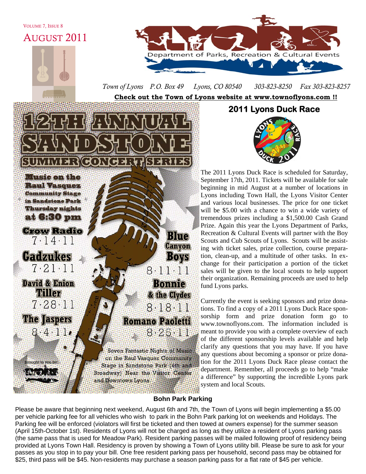VOLUME 7, ISSUE 8

AUGUST 2011



*Town of Lyons P.O. Box 49 Lyons, CO 80540 303-823-8250 Fax 303-823-8257* 

**Check out the Town of Lyons website at www.townoflyons.com !!**



**2011 Lyons Duck Race** 



The 2011 Lyons Duck Race is scheduled for Saturday, September 17th, 2011. Tickets will be available for sale beginning in mid August at a number of locations in Lyons including Town Hall, the Lyons Visitor Center and various local businesses. The price for one ticket will be \$5.00 with a chance to win a wide variety of tremendous prizes including a \$1,500.00 Cash Grand Prize. Again this year the Lyons Department of Parks, Recreation & Cultural Events will partner with the Boy Scouts and Cub Scouts of Lyons. Scouts will be assisting with ticket sales, prize collection, course preparation, clean-up, and a multitude of other tasks. In exchange for their participation a portion of the ticket sales will be given to the local scouts to help support their organization. Remaining proceeds are used to help fund Lyons parks.

Currently the event is seeking sponsors and prize donations. To find a copy of a 2011 Lyons Duck Race sponsorship form and prize donation form go to www.townoflyons.com. The information included is meant to provide you with a complete overview of each of the different sponsorship levels available and help clarify any questions that you may have. If you have any questions about becoming a sponsor or prize donation for the 2011 Lyons Duck Race please contact the department. Remember, all proceeds go to help "make a difference" by supporting the incredible Lyons park system and local Scouts.

# **Bohn Park Parking**

Please be aware that beginning next weekend, August 6th and 7th, the Town of Lyons will begin implementing a \$5.00 per vehicle parking fee for all vehicles who wish to park in the Bohn Park parking lot on weekends and Holidays. The Parking fee will be enforced (violators will first be ticketed and then towed at owners expense) for the summer season (April 15th-October 1st). Residents of Lyons will not be charged as long as they utilize a resident of Lyons parking pass (the same pass that is used for Meadow Park). Resident parking passes will be mailed following proof of residency being provided at Lyons Town Hall. Residency is proven by showing a Town of Lyons utility bill. Please be sure to ask for your passes as you stop in to pay your bill. One free resident parking pass per household, second pass may be obtained for \$25, third pass will be \$45. Non-residents may purchase a season parking pass for a flat rate of \$45 per vehicle.